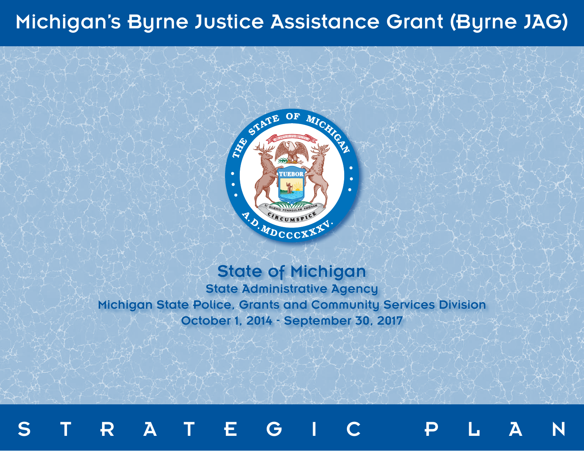# Michigan's Byrne Justice Assistance Grant (Byrne JAG)



## State of Michigan

State Administrative Agency Michigan State Police, Grants and Community Services Division October 1, 2014 - September 30, 2017

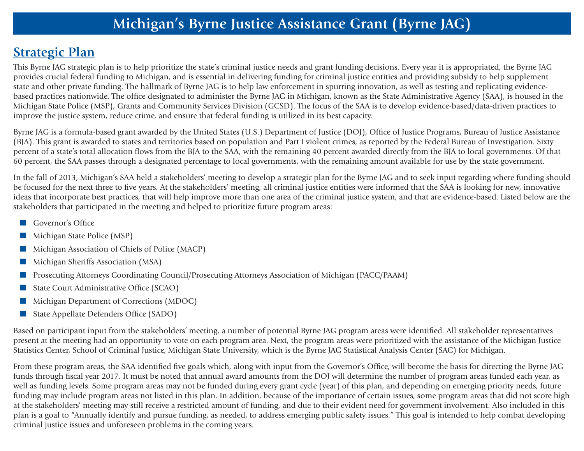### **Strategic Plan**

This Byrne JAG strategic plan is to help prioritize the state's criminal justice needs and grant funding decisions. Every year it is appropriated, the Byrne JAG provides crucial federal funding to Michigan, and is essential in delivering funding for criminal justice entities and providing subsidy to help supplement state and other private funding. The hallmark of Byrne JAG is to help law enforcement in spurring innovation, as well as testing and replicating evidencebased practices nationwide. The office designated to administer the Byrne JAG in Michigan, known as the State Administrative Agency (SAA), is housed in the Michigan State Police (MSP), Grants and Community Services Division (GCSD). The focus of the SAA is to develop evidence-based/data-driven practices to improve the justice system, reduce crime, and ensure that federal funding is utilized in its best capacity.

Byrne JAG is a formula-based grant awarded by the United States (U.S.) Department of Justice (DOJ), Office of Justice Programs, Bureau of Justice Assistance (BJA). This grant is awarded to states and territories based on population and Part I violent crimes, as reported by the Federal Bureau of Investigation. Sixty percent of a state's total allocation flows from the BJA to the SAA, with the remaining 40 percent awarded directly from the BJA to local governments. Of that 60 percent, the SAA passes through a designated percentage to local governments, with the remaining amount available for use by the state government.

In the fall of 2013, Michigan's SAA held a stakeholders' meeting to develop a strategic plan for the Byrne JAG and to seek input regarding where funding should be focused for the next three to five years. At the stakeholders' meeting, all criminal justice entities were informed that the SAA is looking for new, innovative ideas that incorporate best practices, that will help improve more than one area of the criminal justice system, and that are evidence-based. Listed below are the stakeholders that participated in the meeting and helped to prioritize future program areas:

- **n** Governor's Office
- Michigan State Police (MSP)
- n Michigan Association of Chiefs of Police (MACP)
- n Michigan Sheriffs Association (MSA)
- n Prosecuting Attorneys Coordinating Council/Prosecuting Attorneys Association of Michigan (PACC/PAAM)
- State Court Administrative Office (SCAO)
- Michigan Department of Corrections (MDOC)
- State Appellate Defenders Office (SADO)

Based on participant input from the stakeholders' meeting, a number of potential Byrne JAG program areas were identified. All stakeholder representatives present at the meeting had an opportunity to vote on each program area. Next, the program areas were prioritized with the assistance of the Michigan Justice Statistics Center, School of Criminal Justice, Michigan State University, which is the Byrne JAG Statistical Analysis Center (SAC) for Michigan.

From these program areas, the SAA identified five goals which, along with input from the Governor's Office, will become the basis for directing the Byrne JAG funds through fiscal year 2017. It must be noted that annual award amounts from the DOJ will determine the number of program areas funded each year, as well as funding levels. Some program areas may not be funded during every grant cycle (year) of this plan, and depending on emerging priority needs, future funding may include program areas not listed in this plan. In addition, because of the importance of certain issues, some program areas that did not score high at the stakeholders' meeting may still receive a restricted amount of funding, and due to their evident need for government involvement. Also included in this plan is a goal to "Annually identify and pursue funding, as needed, to address emerging public safety issues." This goal is intended to help combat developing criminal justice issues and unforeseen problems in the coming years.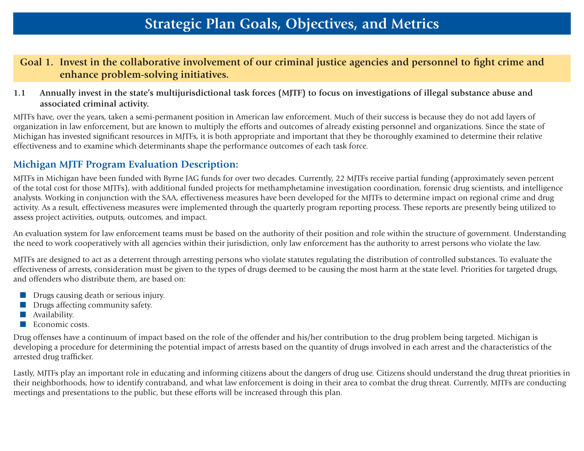#### **Goal 1. Invest in the collaborative involvement of our criminal justice agencies and personnel to fight crime and enhance problem-solving initiatives.**

**1.1 Annually invest in the state's multijurisdictional task forces (MJTF) to focus on investigations of illegal substance abuse and associated criminal activity.**

MJTFs have, over the years, taken a semi-permanent position in American law enforcement. Much of their success is because they do not add layers of organization in law enforcement, but are known to multiply the efforts and outcomes of already existing personnel and organizations. Since the state of Michigan has invested significant resources in MJTFs, it is both appropriate and important that they be thoroughly examined to determine their relative effectiveness and to examine which determinants shape the performance outcomes of each task force.

#### **Michigan MJTF Program Evaluation Description:**

MJTFs in Michigan have been funded with Byrne JAG funds for over two decades. Currently, 22 MJTFs receive partial funding (approximately seven percent of the total cost for those MJTFs), with additional funded projects for methamphetamine investigation coordination, forensic drug scientists, and intelligence analysts. Working in conjunction with the SAA, effectiveness measures have been developed for the MJTFs to determine impact on regional crime and drug activity. As a result, effectiveness measures were implemented through the quarterly program reporting process. These reports are presently being utilized to assess project activities, outputs, outcomes, and impact.

An evaluation system for law enforcement teams must be based on the authority of their position and role within the structure of government. Understanding the need to work cooperatively with all agencies within their jurisdiction, only law enforcement has the authority to arrest persons who violate the law.

MJTFs are designed to act as a deterrent through arresting persons who violate statutes regulating the distribution of controlled substances. To evaluate the effectiveness of arrests, consideration must be given to the types of drugs deemed to be causing the most harm at the state level. Priorities for targeted drugs, and offenders who distribute them, are based on:

- **n** Drugs causing death or serious injury.
- $\blacksquare$  Drugs affecting community safety.
- $\blacksquare$  Availability.
- $\blacksquare$  Economic costs.

Drug offenses have a continuum of impact based on the role of the offender and his/her contribution to the drug problem being targeted. Michigan is developing a procedure for determining the potential impact of arrests based on the quantity of drugs involved in each arrest and the characteristics of the arrested drug trafficker.

Lastly, MJTFs play an important role in educating and informing citizens about the dangers of drug use. Citizens should understand the drug threat priorities in their neighborhoods, how to identify contraband, and what law enforcement is doing in their area to combat the drug threat. Currently, MJTFs are conducting meetings and presentations to the public, but these efforts will be increased through this plan.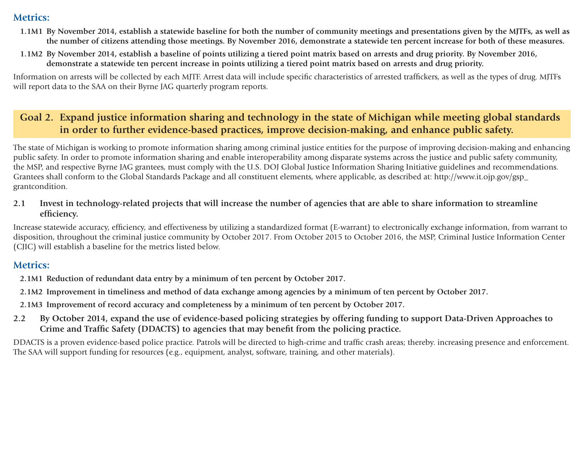#### **Metrics:**

- **1.1M1 By November 2014, establish a statewide baseline for both the number of community meetings and presentations given by the MJTFs, as well as the number of citizens attending those meetings. By November 2016, demonstrate a statewide ten percent increase for both of these measures.**
- **1.1M2 By November 2014, establish a baseline of points utilizing a tiered point matrix based on arrests and drug priority. By November 2016, demonstrate a statewide ten percent increase in points utilizing a tiered point matrix based on arrests and drug priority.**

Information on arrests will be collected by each MJTF. Arrest data will include specific characteristics of arrested traffickers, as well as the types of drug. MJTFs will report data to the SAA on their Byrne JAG quarterly program reports.

#### **Goal 2. Expand justice information sharing and technology in the state of Michigan while meeting global standards in order to further evidence-based practices, improve decision-making, and enhance public safety.**

The state of Michigan is working to promote information sharing among criminal justice entities for the purpose of improving decision-making and enhancing public safety. In order to promote information sharing and enable interoperability among disparate systems across the justice and public safety community, the MSP, and respective Byrne JAG grantees, must comply with the U.S. DOJ Global Justice Information Sharing Initiative guidelines and recommendations. Grantees shall conform to the Global Standards Package and all constituent elements, where applicable, as described at: http://www.it.ojp.gov/gsp\_ grantcondition.

**2.1 Invest in technology-related projects that will increase the number of agencies that are able to share information to streamline efficiency.** 

Increase statewide accuracy, efficiency, and effectiveness by utilizing a standardized format (E-warrant) to electronically exchange information, from warrant to disposition, throughout the criminal justice community by October 2017. From October 2015 to October 2016, the MSP, Criminal Justice Information Center (CJIC) will establish a baseline for the metrics listed below.

#### **Metrics:**

**2.1M1 Reduction of redundant data entry by a minimum of ten percent by October 2017.**

- **2.1M2 Improvement in timeliness and method of data exchange among agencies by a minimum of ten percent by October 2017.**
- **2.1M3 Improvement of record accuracy and completeness by a minimum of ten percent by October 2017.**
- **2.2 By October 2014, expand the use of evidence-based policing strategies by offering funding to support Data-Driven Approaches to Crime and Traffic Safety (DDACTS) to agencies that may benefit from the policing practice.**

DDACTS is a proven evidence-based police practice. Patrols will be directed to high-crime and traffic crash areas; thereby. increasing presence and enforcement. The SAA will support funding for resources (e.g., equipment, analyst, software, training, and other materials).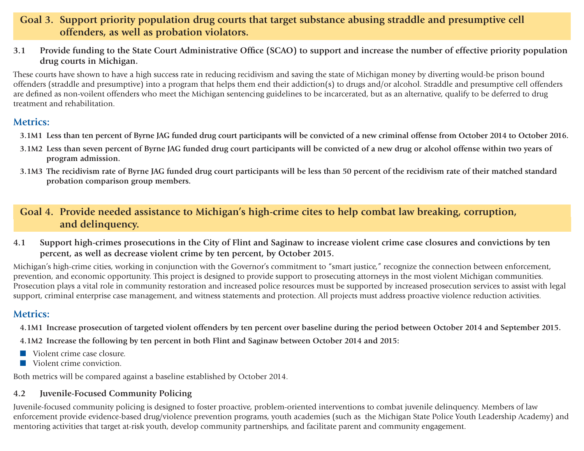#### **Goal 3. Support priority population drug courts that target substance abusing straddle and presumptive cell offenders, as well as probation violators.**

**3.1 Provide funding to the State Court Administrative Office (SCAO) to support and increase the number of effective priority population drug courts in Michigan.**

These courts have shown to have a high success rate in reducing recidivism and saving the state of Michigan money by diverting would-be prison bound offenders (straddle and presumptive) into a program that helps them end their addiction(s) to drugs and/or alcohol. Straddle and presumptive cell offenders are defined as non-voilent offenders who meet the Michigan sentencing guidelines to be incarcerated, but as an alternative, qualify to be deferred to drug treatment and rehabilitation.

#### **Metrics:**

- **3.1M1 Less than ten percent of Byrne JAG funded drug court participants will be convicted of a new criminal offense from October 2014 to October 2016.**
- **3.1M2 Less than seven percent of Byrne JAG funded drug court participants will be convicted of a new drug or alcohol offense within two years of program admission.**
- **3.1M3 The recidivism rate of Byrne JAG funded drug court participants will be less than 50 percent of the recidivism rate of their matched standard probation comparison group members.**

#### **Goal 4. Provide needed assistance to Michigan's high-crime cites to help combat law breaking, corruption, and delinquency.**

**4.1 Support high-crimes prosecutions in the City of Flint and Saginaw to increase violent crime case closures and convictions by ten percent, as well as decrease violent crime by ten percent, by October 2015.**

Michigan's high-crime cities, working in conjunction with the Governor's commitment to "smart justice," recognize the connection between enforcement, prevention, and economic opportunity. This project is designed to provide support to prosecuting attorneys in the most violent Michigan communities. Prosecution plays a vital role in community restoration and increased police resources must be supported by increased prosecution services to assist with legal support, criminal enterprise case management, and witness statements and protection. All projects must address proactive violence reduction activities.

#### **Metrics:**

- **4.1M1 Increase prosecution of targeted violent offenders by ten percent over baseline during the period between October 2014 and September 2015.**
- **4.1M2 Increase the following by ten percent in both Flint and Saginaw between October 2014 and 2015:**
- $\blacksquare$  Violent crime case closure.
- $\blacksquare$  Violent crime conviction.

Both metrics will be compared against a baseline established by October 2014.

#### **4.2 Juvenile-Focused Community Policing**

Juvenile-focused community policing is designed to foster proactive, problem-oriented interventions to combat juvenile delinquency. Members of law enforcement provide evidence-based drug/violence prevention programs, youth academies (such as the Michigan State Police Youth Leadership Academy) and mentoring activities that target at-risk youth, develop community partnerships, and facilitate parent and community engagement.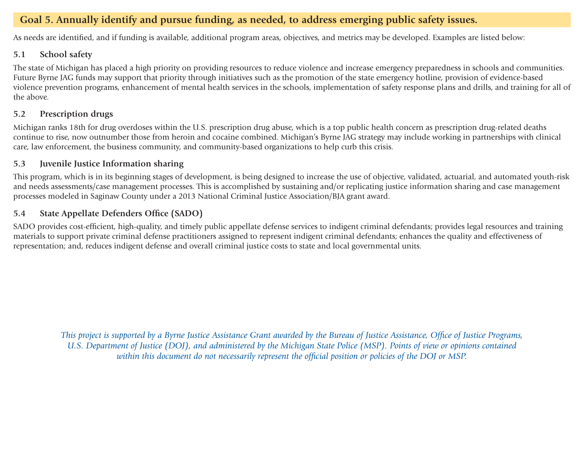#### **Goal 5. Annually identify and pursue funding, as needed, to address emerging public safety issues.**

As needs are identified, and if funding is available, additional program areas, objectives, and metrics may be developed. Examples are listed below:

#### **5.1 School safety**

The state of Michigan has placed a high priority on providing resources to reduce violence and increase emergency preparedness in schools and communities. Future Byrne JAG funds may support that priority through initiatives such as the promotion of the state emergency hotline, provision of evidence-based violence prevention programs, enhancement of mental health services in the schools, implementation of safety response plans and drills, and training for all of the above.

#### **5.2 Prescription drugs**

Michigan ranks 18th for drug overdoses within the U.S. prescription drug abuse, which is a top public health concern as prescription drug-related deaths continue to rise, now outnumber those from heroin and cocaine combined. Michigan's Byrne JAG strategy may include working in partnerships with clinical care, law enforcement, the business community, and community-based organizations to help curb this crisis.

#### **5.3 Juvenile Justice Information sharing**

This program, which is in its beginning stages of development, is being designed to increase the use of objective, validated, actuarial, and automated youth-risk and needs assessments/case management processes. This is accomplished by sustaining and/or replicating justice information sharing and case management processes modeled in Saginaw County under a 2013 National Criminal Justice Association/BJA grant award.

#### **5.4 State Appellate Defenders Office (SADO)**

SADO provides cost-efficient, high-quality, and timely public appellate defense services to indigent criminal defendants; provides legal resources and training materials to support private criminal defense practitioners assigned to represent indigent criminal defendants; enhances the quality and effectiveness of representation; and, reduces indigent defense and overall criminal justice costs to state and local governmental units.

*This project is supported by a Byrne Justice Assistance Grant awarded by the Bureau of Justice Assistance, Office of Justice Programs, U.S. Department of Justice (DOJ), and administered by the Michigan State Police (MSP). Points of view or opinions contained within this document do not necessarily represent the official position or policies of the DOJ or MSP.*